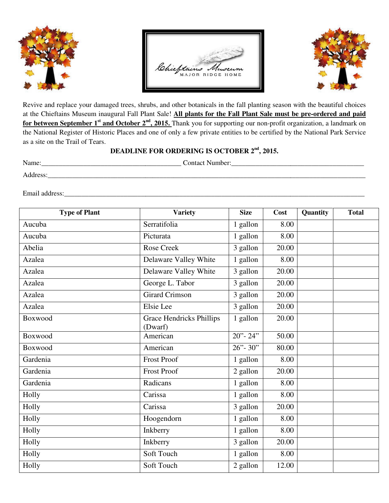





Revive and replace your damaged trees, shrubs, and other botanicals in the fall planting season with the beautiful choices at the Chieftains Museum inaugural Fall Plant Sale! All plants for the Fall Plant Sale must be pre-ordered and paid **for between September 1<sup>st</sup> and October 2<sup>nd</sup>, 2015.** Thank you for supporting our non-profit organization, a landmark on for between September 1<sup>st</sup> and October 2<sup>nd</sup>, 2015. Thank you for supporting our non-profit organization, a landmark on<br>the National Register of Historic Places and one of only a few private entities to be certified by th as a site on the Trail of Tears.

## **DEADLINE FOR ORDERING IS OCTOBER DEADLINE FOR OCTOBER 2nd, 2015.**

Name:\_\_\_\_\_\_\_\_\_\_\_\_\_\_\_\_\_\_\_\_\_\_\_\_\_\_\_\_\_\_\_\_\_\_\_\_\_\_\_\_ Contact Number:\_\_\_\_\_\_\_\_\_\_\_\_\_\_\_\_\_\_\_\_\_\_\_\_\_\_\_\_\_\_\_\_\_ Number:\_\_\_\_\_\_\_\_\_\_\_\_\_\_\_\_\_\_\_\_\_\_\_\_\_\_\_\_\_\_\_\_\_\_\_\_\_\_

Address:

Email address:\_\_\_\_\_\_\_\_\_\_\_\_\_\_\_\_\_\_\_\_\_\_\_\_\_\_\_\_\_\_\_\_\_\_\_\_\_\_\_\_\_\_\_\_\_\_\_\_\_\_\_\_\_\_\_\_\_\_\_\_\_\_\_\_\_\_\_\_\_\_\_\_\_\_\_\_\_\_\_\_\_\_\_\_\_\_ \_\_\_\_\_\_\_\_\_\_\_\_\_\_\_\_\_\_\_\_\_\_\_\_\_\_\_\_\_\_\_\_\_\_\_\_\_\_\_\_\_\_\_\_\_\_\_\_\_\_\_\_\_\_\_\_\_\_\_\_\_\_\_\_\_\_\_\_\_\_\_\_\_\_\_\_\_\_\_\_\_\_\_\_\_\_\_\_\_\_ddress:\_\_\_\_\_\_\_\_\_\_\_\_\_\_\_\_\_\_\_\_\_\_\_\_\_\_\_\_\_\_\_\_\_\_\_\_\_\_\_\_\_\_\_\_\_\_\_\_\_\_\_\_\_\_\_\_\_\_\_\_\_\_\_\_\_\_\_\_\_\_\_\_\_\_\_\_\_\_\_\_\_\_\_\_\_\_

| <b>Type of Plant</b> | <b>Variety</b>                             | <b>Size</b>   | Cost  | Quantity | <b>Total</b> |
|----------------------|--------------------------------------------|---------------|-------|----------|--------------|
| Aucuba               | Serratifolia                               | 1 gallon      | 8.00  |          |              |
| Aucuba               | Picturata                                  | 1 gallon      | 8.00  |          |              |
| Abelia               | Rose Creek                                 | 3 gallon      | 20.00 |          |              |
| Azalea               | Delaware Valley White                      | 1 gallon      | 8.00  |          |              |
| Azalea               | Delaware Valley White                      | 3 gallon      | 20.00 |          |              |
| Azalea               | George L. Tabor                            | 3 gallon      | 20.00 |          |              |
| Azalea               | <b>Girard Crimson</b>                      | 3 gallon      | 20.00 |          |              |
| Azalea               | Elsie Lee                                  | 3 gallon      | 20.00 |          |              |
| Boxwood              | <b>Grace Hendricks Phillips</b><br>(Dwarf) | 1 gallon      | 20.00 |          |              |
| Boxwood              | American                                   | $20"$ - $24"$ | 50.00 |          |              |
| Boxwood              | American                                   | $26 - 30$     | 80.00 |          |              |
| Gardenia             | <b>Frost Proof</b>                         | 1 gallon      | 8.00  |          |              |
| Gardenia             | <b>Frost Proof</b>                         | 2 gallon      | 20.00 |          |              |
| Gardenia             | Radicans                                   | 1 gallon      | 8.00  |          |              |
| Holly                | Carissa                                    | 1 gallon      | 8.00  |          |              |
| Holly                | Carissa                                    | 3 gallon      | 20.00 |          |              |
| Holly                | Hoogendorn                                 | 1 gallon      | 8.00  |          |              |
| Holly                | Inkberry                                   | 1 gallon      | 8.00  |          |              |
| Holly                | Inkberry                                   | 3 gallon      | 20.00 |          |              |
| Holly                | Soft Touch                                 | 1 gallon      | 8.00  |          |              |
| Holly                | Soft Touch                                 | 2 gallon      | 12.00 |          |              |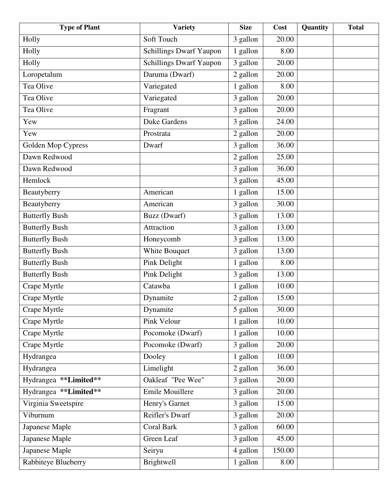| <b>Type of Plant</b>  | <b>Variety</b>                 | <b>Size</b>           | Cost   | Quantity | <b>Total</b> |
|-----------------------|--------------------------------|-----------------------|--------|----------|--------------|
| Holly                 | Soft Touch                     | 3 gallon              | 20.00  |          |              |
| Holly                 | <b>Schillings Dwarf Yaupon</b> | 1 gallon              | 8.00   |          |              |
| Holly                 | <b>Schillings Dwarf Yaupon</b> | 3 gallon              | 20.00  |          |              |
| Loropetalum           | Daruma (Dwarf)                 | 2 gallon              | 20.00  |          |              |
| Tea Olive             | Variegated                     | 1 gallon              | 8.00   |          |              |
| Tea Olive             | Variegated                     | 3 gallon              | 20.00  |          |              |
| Tea Olive             | Fragrant                       | $3$ gallon            | 20.00  |          |              |
| Yew                   | <b>Duke Gardens</b>            | 3 gallon              | 24.00  |          |              |
| Yew                   | Prostrata                      | 2 gallon              | 20.00  |          |              |
| Golden Mop Cypress    | Dwarf                          | 3 gallon              | 36.00  |          |              |
| Dawn Redwood          |                                | 2 gallon              | 25.00  |          |              |
| Dawn Redwood          |                                | 3 gallon              | 36.00  |          |              |
| Hemlock               |                                | 3 gallon              | 45.00  |          |              |
| Beautyberry           | American                       | 1 gallon              | 15.00  |          |              |
| Beautyberry           | American                       | 3 gallon              | 30.00  |          |              |
| <b>Butterfly Bush</b> | Buzz (Dwarf)                   | 3 gallon              | 13.00  |          |              |
| <b>Butterfly Bush</b> | Attraction                     | 3 gallon              | 13.00  |          |              |
| <b>Butterfly Bush</b> | Honeycomb                      | $3$ gallon            | 13.00  |          |              |
| <b>Butterfly Bush</b> | White Bouquet                  | 3 gallon              | 13.00  |          |              |
| <b>Butterfly Bush</b> | Pink Delight                   | 1 gallon              | 8.00   |          |              |
| <b>Butterfly Bush</b> | Pink Delight                   | 3 gallon              | 13.00  |          |              |
| Crape Myrtle          | Catawba                        | 1 gallon              | 10.00  |          |              |
| Crape Myrtle          | Dynamite                       | 2 gallon              | 15.00  |          |              |
| Crape Myrtle          | Dynamite                       | $\overline{5}$ gallon | 30.00  |          |              |
| Crape Myrtle          | Pink Velour                    | 1 gallon              | 10.00  |          |              |
| Crape Myrtle          | Pocomoke (Dwarf)               | 1 gallon              | 10.00  |          |              |
| Crape Myrtle          | Pocomoke (Dwarf)               | 3 gallon              | 20.00  |          |              |
| Hydrangea             | Dooley                         | 1 gallon              | 10.00  |          |              |
| Hydrangea             | $\overline{\text{Limelight}}$  | 2 gallon              | 36.00  |          |              |
| Hydrangea **Limited** | Oakleaf "Pee Wee"              | 3 gallon              | 20.00  |          |              |
| Hydrangea **Limited** | Emile Mouillere                | 3 gallon              | 20.00  |          |              |
| Virginia Sweetspire   | Henry's Garnet                 | 3 gallon              | 15.00  |          |              |
| Viburnum              | Reifler's Dwarf                | 3 gallon              | 20.00  |          |              |
| Japanese Maple        | <b>Coral Bark</b>              | 3 gallon              | 60.00  |          |              |
| Japanese Maple        | Green Leaf                     | 3 gallon              | 45.00  |          |              |
| Japanese Maple        | Seiryu                         | 4 gallon              | 150.00 |          |              |
| Rabbiteye Blueberry   | <b>Brightwell</b>              | 1 gallon              | 8.00   |          |              |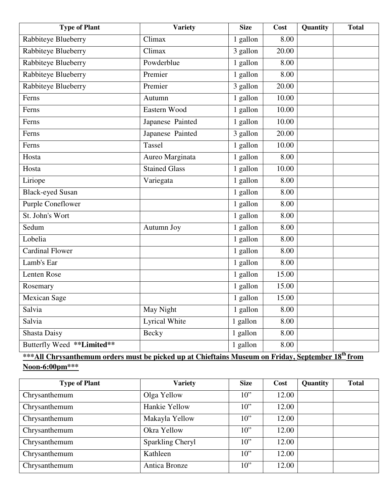| Rabbiteye Blueberry<br>Climax<br>1 gallon<br>8.00<br>Rabbiteye Blueberry<br>Climax<br>3 gallon<br>20.00<br>Rabbiteye Blueberry<br>Powderblue<br>1 gallon<br>8.00<br>Rabbiteye Blueberry<br>Premier<br>1 gallon<br>8.00<br>Rabbiteye Blueberry<br>Premier<br>3 gallon<br>20.00<br>Ferns<br>1 gallon<br>10.00<br>Autumn<br>1 gallon<br>Eastern Wood<br>10.00<br>Ferns<br>Ferns<br>Japanese Painted<br>1 gallon<br>10.00<br>3 gallon<br>Ferns<br>Japanese Painted<br>20.00<br>Tassel<br>Ferns<br>1 gallon<br>10.00<br>Hosta<br>Aureo Marginata<br>1 gallon<br>8.00<br>Hosta<br><b>Stained Glass</b><br>1 gallon<br>10.00<br>Liriope<br>Variegata<br>1 gallon<br>8.00<br>$1$ gallon<br><b>Black-eyed Susan</b><br>8.00<br><b>Purple Coneflower</b><br>1 gallon<br>8.00<br>St. John's Wort<br>1 gallon<br>8.00<br>Sedum<br>1 gallon<br>8.00<br>Autumn Joy<br>Lobelia<br>1 gallon<br>8.00<br><b>Cardinal Flower</b><br>1 gallon<br>8.00<br>Lamb's Ear<br>1 gallon<br>8.00<br>Lenten Rose<br>1 gallon<br>15.00<br>1 gallon<br>15.00<br>Rosemary<br>Mexican Sage<br>1 gallon<br>15.00<br>Salvia<br>May Night<br>1 gallon<br>8.00<br><b>Lyrical White</b><br>Salvia<br>1 gallon<br>8.00<br><b>Shasta Daisy</b><br>1 gallon<br><b>Becky</b><br>8.00<br>Butterfly Weed **Limited**<br>8.00<br>1 gallon | <b>Type of Plant</b> | <b>Variety</b> | <b>Size</b> | Cost | Quantity | <b>Total</b> |
|---------------------------------------------------------------------------------------------------------------------------------------------------------------------------------------------------------------------------------------------------------------------------------------------------------------------------------------------------------------------------------------------------------------------------------------------------------------------------------------------------------------------------------------------------------------------------------------------------------------------------------------------------------------------------------------------------------------------------------------------------------------------------------------------------------------------------------------------------------------------------------------------------------------------------------------------------------------------------------------------------------------------------------------------------------------------------------------------------------------------------------------------------------------------------------------------------------------------------------------------------------------------------------------------|----------------------|----------------|-------------|------|----------|--------------|
|                                                                                                                                                                                                                                                                                                                                                                                                                                                                                                                                                                                                                                                                                                                                                                                                                                                                                                                                                                                                                                                                                                                                                                                                                                                                                             |                      |                |             |      |          |              |
|                                                                                                                                                                                                                                                                                                                                                                                                                                                                                                                                                                                                                                                                                                                                                                                                                                                                                                                                                                                                                                                                                                                                                                                                                                                                                             |                      |                |             |      |          |              |
|                                                                                                                                                                                                                                                                                                                                                                                                                                                                                                                                                                                                                                                                                                                                                                                                                                                                                                                                                                                                                                                                                                                                                                                                                                                                                             |                      |                |             |      |          |              |
|                                                                                                                                                                                                                                                                                                                                                                                                                                                                                                                                                                                                                                                                                                                                                                                                                                                                                                                                                                                                                                                                                                                                                                                                                                                                                             |                      |                |             |      |          |              |
|                                                                                                                                                                                                                                                                                                                                                                                                                                                                                                                                                                                                                                                                                                                                                                                                                                                                                                                                                                                                                                                                                                                                                                                                                                                                                             |                      |                |             |      |          |              |
|                                                                                                                                                                                                                                                                                                                                                                                                                                                                                                                                                                                                                                                                                                                                                                                                                                                                                                                                                                                                                                                                                                                                                                                                                                                                                             |                      |                |             |      |          |              |
|                                                                                                                                                                                                                                                                                                                                                                                                                                                                                                                                                                                                                                                                                                                                                                                                                                                                                                                                                                                                                                                                                                                                                                                                                                                                                             |                      |                |             |      |          |              |
|                                                                                                                                                                                                                                                                                                                                                                                                                                                                                                                                                                                                                                                                                                                                                                                                                                                                                                                                                                                                                                                                                                                                                                                                                                                                                             |                      |                |             |      |          |              |
|                                                                                                                                                                                                                                                                                                                                                                                                                                                                                                                                                                                                                                                                                                                                                                                                                                                                                                                                                                                                                                                                                                                                                                                                                                                                                             |                      |                |             |      |          |              |
|                                                                                                                                                                                                                                                                                                                                                                                                                                                                                                                                                                                                                                                                                                                                                                                                                                                                                                                                                                                                                                                                                                                                                                                                                                                                                             |                      |                |             |      |          |              |
|                                                                                                                                                                                                                                                                                                                                                                                                                                                                                                                                                                                                                                                                                                                                                                                                                                                                                                                                                                                                                                                                                                                                                                                                                                                                                             |                      |                |             |      |          |              |
|                                                                                                                                                                                                                                                                                                                                                                                                                                                                                                                                                                                                                                                                                                                                                                                                                                                                                                                                                                                                                                                                                                                                                                                                                                                                                             |                      |                |             |      |          |              |
|                                                                                                                                                                                                                                                                                                                                                                                                                                                                                                                                                                                                                                                                                                                                                                                                                                                                                                                                                                                                                                                                                                                                                                                                                                                                                             |                      |                |             |      |          |              |
|                                                                                                                                                                                                                                                                                                                                                                                                                                                                                                                                                                                                                                                                                                                                                                                                                                                                                                                                                                                                                                                                                                                                                                                                                                                                                             |                      |                |             |      |          |              |
|                                                                                                                                                                                                                                                                                                                                                                                                                                                                                                                                                                                                                                                                                                                                                                                                                                                                                                                                                                                                                                                                                                                                                                                                                                                                                             |                      |                |             |      |          |              |
|                                                                                                                                                                                                                                                                                                                                                                                                                                                                                                                                                                                                                                                                                                                                                                                                                                                                                                                                                                                                                                                                                                                                                                                                                                                                                             |                      |                |             |      |          |              |
|                                                                                                                                                                                                                                                                                                                                                                                                                                                                                                                                                                                                                                                                                                                                                                                                                                                                                                                                                                                                                                                                                                                                                                                                                                                                                             |                      |                |             |      |          |              |
|                                                                                                                                                                                                                                                                                                                                                                                                                                                                                                                                                                                                                                                                                                                                                                                                                                                                                                                                                                                                                                                                                                                                                                                                                                                                                             |                      |                |             |      |          |              |
|                                                                                                                                                                                                                                                                                                                                                                                                                                                                                                                                                                                                                                                                                                                                                                                                                                                                                                                                                                                                                                                                                                                                                                                                                                                                                             |                      |                |             |      |          |              |
|                                                                                                                                                                                                                                                                                                                                                                                                                                                                                                                                                                                                                                                                                                                                                                                                                                                                                                                                                                                                                                                                                                                                                                                                                                                                                             |                      |                |             |      |          |              |
|                                                                                                                                                                                                                                                                                                                                                                                                                                                                                                                                                                                                                                                                                                                                                                                                                                                                                                                                                                                                                                                                                                                                                                                                                                                                                             |                      |                |             |      |          |              |
|                                                                                                                                                                                                                                                                                                                                                                                                                                                                                                                                                                                                                                                                                                                                                                                                                                                                                                                                                                                                                                                                                                                                                                                                                                                                                             |                      |                |             |      |          |              |
|                                                                                                                                                                                                                                                                                                                                                                                                                                                                                                                                                                                                                                                                                                                                                                                                                                                                                                                                                                                                                                                                                                                                                                                                                                                                                             |                      |                |             |      |          |              |
|                                                                                                                                                                                                                                                                                                                                                                                                                                                                                                                                                                                                                                                                                                                                                                                                                                                                                                                                                                                                                                                                                                                                                                                                                                                                                             |                      |                |             |      |          |              |
|                                                                                                                                                                                                                                                                                                                                                                                                                                                                                                                                                                                                                                                                                                                                                                                                                                                                                                                                                                                                                                                                                                                                                                                                                                                                                             |                      |                |             |      |          |              |
|                                                                                                                                                                                                                                                                                                                                                                                                                                                                                                                                                                                                                                                                                                                                                                                                                                                                                                                                                                                                                                                                                                                                                                                                                                                                                             |                      |                |             |      |          |              |
| $\overline{ab}$                                                                                                                                                                                                                                                                                                                                                                                                                                                                                                                                                                                                                                                                                                                                                                                                                                                                                                                                                                                                                                                                                                                                                                                                                                                                             |                      |                |             |      |          |              |

**\*\*\*All Chrysanthemum orders must be picked up at Chieftains Museum on Friday, September 18th from Noon-6:00pm\*\*\***

| <b>Type of Plant</b> | <b>Variety</b>   | <b>Size</b> | Cost  | Quantity | <b>Total</b> |
|----------------------|------------------|-------------|-------|----------|--------------|
| Chrysanthemum        | Olga Yellow      | $10$ "      | 12.00 |          |              |
| Chrysanthemum        | Hankie Yellow    | $10$ "      | 12.00 |          |              |
| Chrysanthemum        | Makayla Yellow   | $10$ "      | 12.00 |          |              |
| Chrysanthemum        | Okra Yellow      | $10$ "      | 12.00 |          |              |
| Chrysanthemum        | Sparkling Cheryl | $10$ "      | 12.00 |          |              |
| Chrysanthemum        | Kathleen         | $10$ "      | 12.00 |          |              |
| Chrysanthemum        | Antica Bronze    | $10$ "      | 12.00 |          |              |